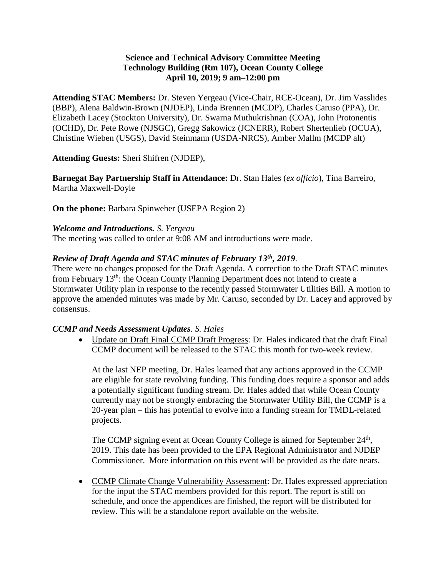## **Science and Technical Advisory Committee Meeting Technology Building (Rm 107), Ocean County College April 10, 2019; 9 am–12:00 pm**

**Attending STAC Members:** Dr. Steven Yergeau (Vice-Chair, RCE-Ocean), Dr. Jim Vasslides (BBP), Alena Baldwin-Brown (NJDEP), Linda Brennen (MCDP), Charles Caruso (PPA), Dr. Elizabeth Lacey (Stockton University), Dr. Swarna Muthukrishnan (COA), John Protonentis (OCHD), Dr. Pete Rowe (NJSGC), Gregg Sakowicz (JCNERR), Robert Shertenlieb (OCUA), Christine Wieben (USGS), David Steinmann (USDA-NRCS), Amber Mallm (MCDP alt)

**Attending Guests:** Sheri Shifren (NJDEP),

**Barnegat Bay Partnership Staff in Attendance:** Dr. Stan Hales (*ex officio*), Tina Barreiro, Martha Maxwell-Doyle

**On the phone:** Barbara Spinweber (USEPA Region 2)

#### *Welcome and Introductions. S. Yergeau*

The meeting was called to order at 9:08 AM and introductions were made.

#### *Review of Draft Agenda and STAC minutes of February 13th, 2019.*

There were no changes proposed for the Draft Agenda. A correction to the Draft STAC minutes from February 13th: the Ocean County Planning Department does not intend to create a Stormwater Utility plan in response to the recently passed Stormwater Utilities Bill. A motion to approve the amended minutes was made by Mr. Caruso, seconded by Dr. Lacey and approved by consensus.

#### *CCMP and Needs Assessment Updates. S. Hales*

• Update on Draft Final CCMP Draft Progress: Dr. Hales indicated that the draft Final CCMP document will be released to the STAC this month for two-week review.

At the last NEP meeting, Dr. Hales learned that any actions approved in the CCMP are eligible for state revolving funding. This funding does require a sponsor and adds a potentially significant funding stream. Dr. Hales added that while Ocean County currently may not be strongly embracing the Stormwater Utility Bill, the CCMP is a 20-year plan – this has potential to evolve into a funding stream for TMDL-related projects.

The CCMP signing event at Ocean County College is aimed for September 24<sup>th</sup>, 2019. This date has been provided to the EPA Regional Administrator and NJDEP Commissioner. More information on this event will be provided as the date nears.

• CCMP Climate Change Vulnerability Assessment: Dr. Hales expressed appreciation for the input the STAC members provided for this report. The report is still on schedule, and once the appendices are finished, the report will be distributed for review. This will be a standalone report available on the website.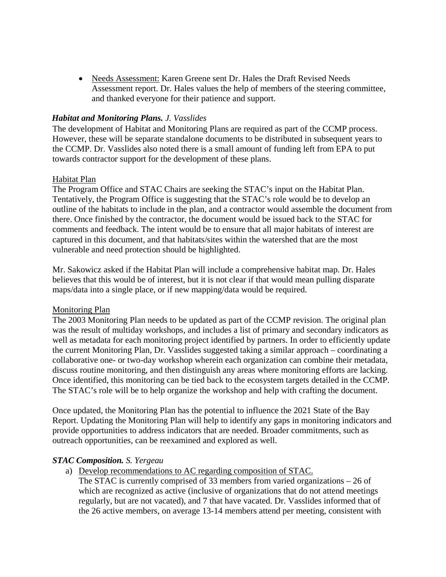• Needs Assessment: Karen Greene sent Dr. Hales the Draft Revised Needs Assessment report. Dr. Hales values the help of members of the steering committee, and thanked everyone for their patience and support.

### *Habitat and Monitoring Plans. J. Vasslides*

The development of Habitat and Monitoring Plans are required as part of the CCMP process. However, these will be separate standalone documents to be distributed in subsequent years to the CCMP. Dr. Vasslides also noted there is a small amount of funding left from EPA to put towards contractor support for the development of these plans.

### Habitat Plan

The Program Office and STAC Chairs are seeking the STAC's input on the Habitat Plan. Tentatively, the Program Office is suggesting that the STAC's role would be to develop an outline of the habitats to include in the plan, and a contractor would assemble the document from there. Once finished by the contractor, the document would be issued back to the STAC for comments and feedback. The intent would be to ensure that all major habitats of interest are captured in this document, and that habitats/sites within the watershed that are the most vulnerable and need protection should be highlighted.

Mr. Sakowicz asked if the Habitat Plan will include a comprehensive habitat map. Dr. Hales believes that this would be of interest, but it is not clear if that would mean pulling disparate maps/data into a single place, or if new mapping/data would be required.

#### Monitoring Plan

The 2003 Monitoring Plan needs to be updated as part of the CCMP revision. The original plan was the result of multiday workshops, and includes a list of primary and secondary indicators as well as metadata for each monitoring project identified by partners. In order to efficiently update the current Monitoring Plan, Dr. Vasslides suggested taking a similar approach – coordinating a collaborative one- or two-day workshop wherein each organization can combine their metadata, discuss routine monitoring, and then distinguish any areas where monitoring efforts are lacking. Once identified, this monitoring can be tied back to the ecosystem targets detailed in the CCMP. The STAC's role will be to help organize the workshop and help with crafting the document.

Once updated, the Monitoring Plan has the potential to influence the 2021 State of the Bay Report. Updating the Monitoring Plan will help to identify any gaps in monitoring indicators and provide opportunities to address indicators that are needed. Broader commitments, such as outreach opportunities, can be reexamined and explored as well.

#### *STAC Composition. S. Yergeau*

a) Develop recommendations to AC regarding composition of STAC.

The STAC is currently comprised of 33 members from varied organizations – 26 of which are recognized as active (inclusive of organizations that do not attend meetings regularly, but are not vacated), and 7 that have vacated. Dr. Vasslides informed that of the 26 active members, on average 13-14 members attend per meeting, consistent with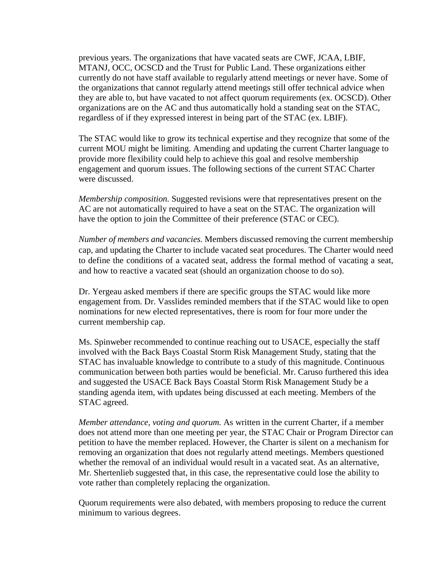previous years. The organizations that have vacated seats are CWF, JCAA, LBIF, MTANJ, OCC, OCSCD and the Trust for Public Land. These organizations either currently do not have staff available to regularly attend meetings or never have. Some of the organizations that cannot regularly attend meetings still offer technical advice when they are able to, but have vacated to not affect quorum requirements (ex. OCSCD). Other organizations are on the AC and thus automatically hold a standing seat on the STAC, regardless of if they expressed interest in being part of the STAC (ex. LBIF).

The STAC would like to grow its technical expertise and they recognize that some of the current MOU might be limiting. Amending and updating the current Charter language to provide more flexibility could help to achieve this goal and resolve membership engagement and quorum issues. The following sections of the current STAC Charter were discussed.

*Membership composition.* Suggested revisions were that representatives present on the AC are not automatically required to have a seat on the STAC. The organization will have the option to join the Committee of their preference (STAC or CEC).

*Number of members and vacancies.* Members discussed removing the current membership cap, and updating the Charter to include vacated seat procedures. The Charter would need to define the conditions of a vacated seat, address the formal method of vacating a seat, and how to reactive a vacated seat (should an organization choose to do so).

Dr. Yergeau asked members if there are specific groups the STAC would like more engagement from. Dr. Vasslides reminded members that if the STAC would like to open nominations for new elected representatives, there is room for four more under the current membership cap.

Ms. Spinweber recommended to continue reaching out to USACE, especially the staff involved with the Back Bays Coastal Storm Risk Management Study, stating that the STAC has invaluable knowledge to contribute to a study of this magnitude. Continuous communication between both parties would be beneficial. Mr. Caruso furthered this idea and suggested the USACE Back Bays Coastal Storm Risk Management Study be a standing agenda item, with updates being discussed at each meeting. Members of the STAC agreed.

*Member attendance, voting and quorum.* As written in the current Charter, if a member does not attend more than one meeting per year, the STAC Chair or Program Director can petition to have the member replaced. However, the Charter is silent on a mechanism for removing an organization that does not regularly attend meetings. Members questioned whether the removal of an individual would result in a vacated seat. As an alternative, Mr. Shertenlieb suggested that, in this case, the representative could lose the ability to vote rather than completely replacing the organization.

Quorum requirements were also debated, with members proposing to reduce the current minimum to various degrees.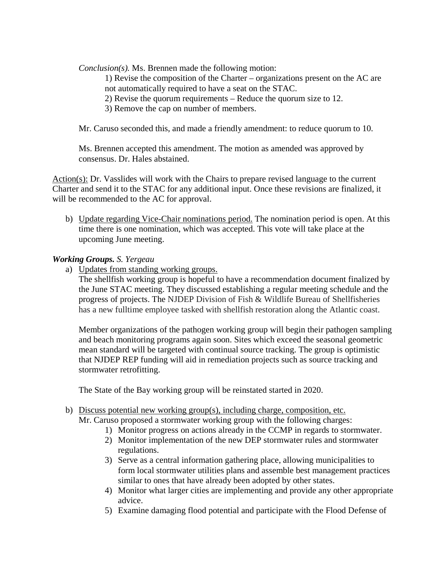*Conclusion(s).* Ms. Brennen made the following motion:

1) Revise the composition of the Charter – organizations present on the AC are not automatically required to have a seat on the STAC.

- 2) Revise the quorum requirements Reduce the quorum size to 12.
- 3) Remove the cap on number of members.

Mr. Caruso seconded this, and made a friendly amendment: to reduce quorum to 10.

Ms. Brennen accepted this amendment. The motion as amended was approved by consensus. Dr. Hales abstained.

Action(s): Dr. Vasslides will work with the Chairs to prepare revised language to the current Charter and send it to the STAC for any additional input. Once these revisions are finalized, it will be recommended to the AC for approval.

b) Update regarding Vice-Chair nominations period. The nomination period is open. At this time there is one nomination, which was accepted. This vote will take place at the upcoming June meeting.

### *Working Groups. S. Yergeau*

a) Updates from standing working groups.

The shellfish working group is hopeful to have a recommendation document finalized by the June STAC meeting. They discussed establishing a regular meeting schedule and the progress of projects. The NJDEP Division of Fish & Wildlife Bureau of Shellfisheries has a new fulltime employee tasked with shellfish restoration along the Atlantic coast.

Member organizations of the pathogen working group will begin their pathogen sampling and beach monitoring programs again soon. Sites which exceed the seasonal geometric mean standard will be targeted with continual source tracking. The group is optimistic that NJDEP REP funding will aid in remediation projects such as source tracking and stormwater retrofitting.

The State of the Bay working group will be reinstated started in 2020.

- b) Discuss potential new working group(s), including charge, composition, etc. Mr. Caruso proposed a stormwater working group with the following charges:
	- 1) Monitor progress on actions already in the CCMP in regards to stormwater.
	- 2) Monitor implementation of the new DEP stormwater rules and stormwater regulations.
	- 3) Serve as a central information gathering place, allowing municipalities to form local stormwater utilities plans and assemble best management practices similar to ones that have already been adopted by other states.
	- 4) Monitor what larger cities are implementing and provide any other appropriate advice.
	- 5) Examine damaging flood potential and participate with the Flood Defense of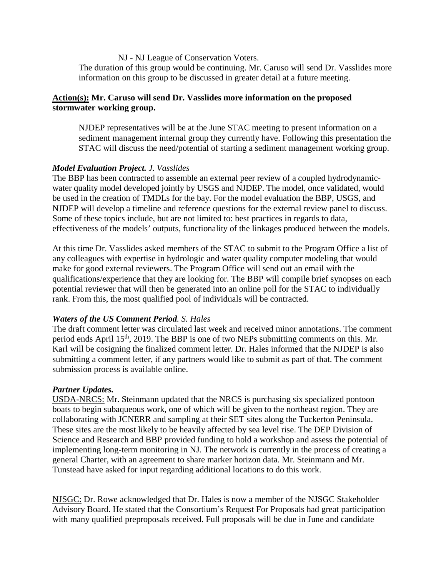NJ - NJ League of Conservation Voters.

The duration of this group would be continuing. Mr. Caruso will send Dr. Vasslides more information on this group to be discussed in greater detail at a future meeting.

# **Action(s): Mr. Caruso will send Dr. Vasslides more information on the proposed stormwater working group.**

NJDEP representatives will be at the June STAC meeting to present information on a sediment management internal group they currently have. Following this presentation the STAC will discuss the need/potential of starting a sediment management working group.

### *Model Evaluation Project. J. Vasslides*

The BBP has been contracted to assemble an external peer review of a coupled hydrodynamicwater quality model developed jointly by USGS and NJDEP. The model, once validated, would be used in the creation of TMDLs for the bay. For the model evaluation the BBP, USGS, and NJDEP will develop a timeline and reference questions for the external review panel to discuss. Some of these topics include, but are not limited to: best practices in regards to data, effectiveness of the models' outputs, functionality of the linkages produced between the models.

At this time Dr. Vasslides asked members of the STAC to submit to the Program Office a list of any colleagues with expertise in hydrologic and water quality computer modeling that would make for good external reviewers. The Program Office will send out an email with the qualifications/experience that they are looking for. The BBP will compile brief synopses on each potential reviewer that will then be generated into an online poll for the STAC to individually rank. From this, the most qualified pool of individuals will be contracted.

#### *Waters of the US Comment Period. S. Hales*

The draft comment letter was circulated last week and received minor annotations. The comment period ends April 15th, 2019. The BBP is one of two NEPs submitting comments on this. Mr. Karl will be cosigning the finalized comment letter. Dr. Hales informed that the NJDEP is also submitting a comment letter, if any partners would like to submit as part of that. The comment submission process is available online.

#### *Partner Updates.*

USDA-NRCS: Mr. Steinmann updated that the NRCS is purchasing six specialized pontoon boats to begin subaqueous work, one of which will be given to the northeast region. They are collaborating with JCNERR and sampling at their SET sites along the Tuckerton Peninsula. These sites are the most likely to be heavily affected by sea level rise. The DEP Division of Science and Research and BBP provided funding to hold a workshop and assess the potential of implementing long-term monitoring in NJ. The network is currently in the process of creating a general Charter, with an agreement to share marker horizon data. Mr. Steinmann and Mr. Tunstead have asked for input regarding additional locations to do this work.

NJSGC: Dr. Rowe acknowledged that Dr. Hales is now a member of the NJSGC Stakeholder Advisory Board. He stated that the Consortium's Request For Proposals had great participation with many qualified preproposals received. Full proposals will be due in June and candidate